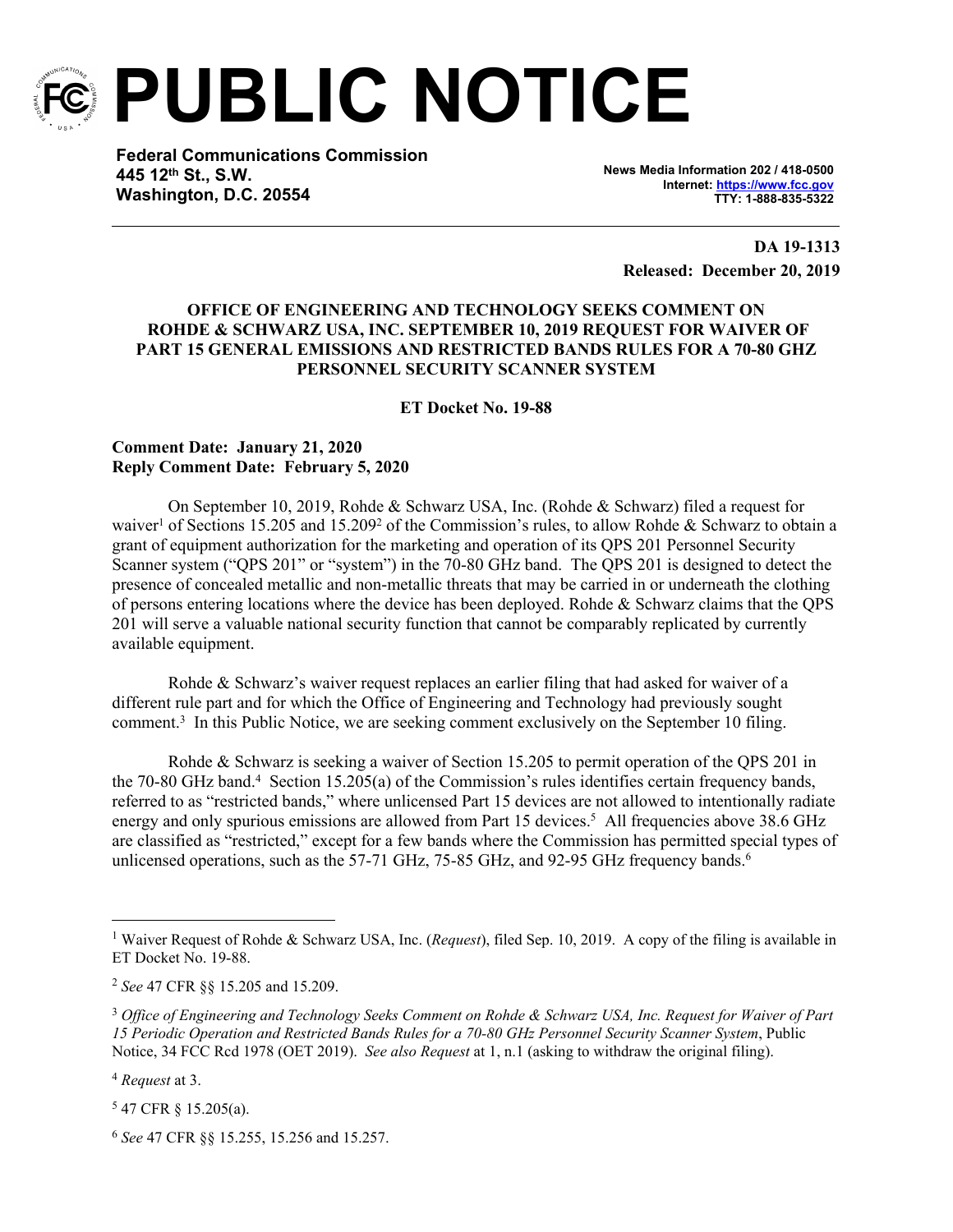

**PUBLIC NOTICE**

**Federal Communications Commission 445 12th St., S.W. Washington, D.C. 20554**

**News Media Information 202 / 418-0500 Internet:<https://www.fcc.gov> TTY: 1-888-835-5322**

**DA 19-1313 Released: December 20, 2019**

## **OFFICE OF ENGINEERING AND TECHNOLOGY SEEKS COMMENT ON ROHDE & SCHWARZ USA, INC. SEPTEMBER 10, 2019 REQUEST FOR WAIVER OF PART 15 GENERAL EMISSIONS AND RESTRICTED BANDS RULES FOR A 70-80 GHZ PERSONNEL SECURITY SCANNER SYSTEM**

**ET Docket No. 19-88** 

## **Comment Date: January 21, 2020 Reply Comment Date: February 5, 2020**

On September 10, 2019, Rohde & Schwarz USA, Inc. (Rohde & Schwarz) filed a request for waiver<sup>1</sup> of Sections 15.205 and 15.209<sup>2</sup> of the Commission's rules, to allow Rohde & Schwarz to obtain a grant of equipment authorization for the marketing and operation of its QPS 201 Personnel Security Scanner system ("QPS 201" or "system") in the 70-80 GHz band. The QPS 201 is designed to detect the presence of concealed metallic and non-metallic threats that may be carried in or underneath the clothing of persons entering locations where the device has been deployed. Rohde & Schwarz claims that the QPS 201 will serve a valuable national security function that cannot be comparably replicated by currently available equipment.

Rohde & Schwarz's waiver request replaces an earlier filing that had asked for waiver of a different rule part and for which the Office of Engineering and Technology had previously sought comment.<sup>3</sup> In this Public Notice, we are seeking comment exclusively on the September 10 filing.

Rohde & Schwarz is seeking a waiver of Section 15.205 to permit operation of the QPS 201 in the 70-80 GHz band.<sup>4</sup> Section 15.205(a) of the Commission's rules identifies certain frequency bands, referred to as "restricted bands," where unlicensed Part 15 devices are not allowed to intentionally radiate energy and only spurious emissions are allowed from Part 15 devices.<sup>5</sup> All frequencies above 38.6 GHz are classified as "restricted," except for a few bands where the Commission has permitted special types of unlicensed operations, such as the 57-71 GHz, 75-85 GHz, and 92-95 GHz frequency bands.<sup>6</sup>

<sup>&</sup>lt;sup>1</sup> Waiver Request of Rohde & Schwarz USA, Inc. (*Request*), filed Sep. 10, 2019. A copy of the filing is available in ET Docket No. 19-88.

<sup>2</sup> *See* 47 CFR §§ 15.205 and 15.209.

<sup>3</sup> *Office of Engineering and Technology Seeks Comment on Rohde & Schwarz USA, Inc. Request for Waiver of Part 15 Periodic Operation and Restricted Bands Rules for a 70-80 GHz Personnel Security Scanner System*, Public Notice, 34 FCC Rcd 1978 (OET 2019). *See also Request* at 1, n.1 (asking to withdraw the original filing).

<sup>4</sup> *Request* at 3.

<sup>5</sup> 47 CFR § 15.205(a).

<sup>6</sup> *See* 47 CFR §§ 15.255, 15.256 and 15.257.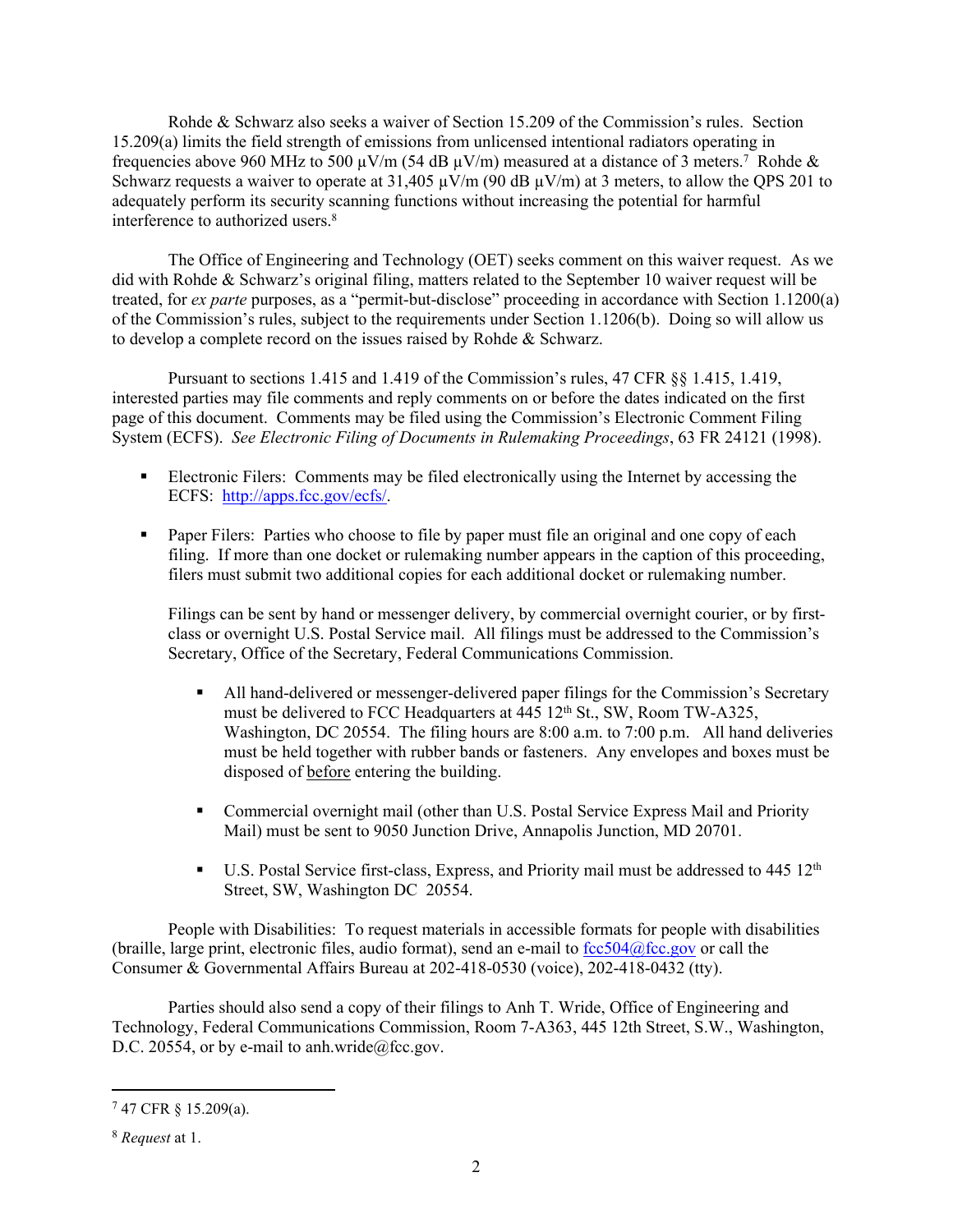Rohde & Schwarz also seeks a waiver of Section 15.209 of the Commission's rules. Section 15.209(a) limits the field strength of emissions from unlicensed intentional radiators operating in frequencies above 960 MHz to 500  $\mu$ V/m (54 dB  $\mu$ V/m) measured at a distance of 3 meters.<sup>7</sup> Rohde & Schwarz requests a waiver to operate at  $31,405 \mu V/m$  (90 dB  $\mu V/m$ ) at 3 meters, to allow the QPS 201 to adequately perform its security scanning functions without increasing the potential for harmful interference to authorized users.<sup>8</sup>

The Office of Engineering and Technology (OET) seeks comment on this waiver request. As we did with Rohde & Schwarz's original filing, matters related to the September 10 waiver request will be treated, for *ex parte* purposes, as a "permit-but-disclose" proceeding in accordance with Section 1.1200(a) of the Commission's rules, subject to the requirements under Section 1.1206(b). Doing so will allow us to develop a complete record on the issues raised by Rohde & Schwarz.

Pursuant to sections 1.415 and 1.419 of the Commission's rules, 47 CFR §§ 1.415, 1.419, interested parties may file comments and reply comments on or before the dates indicated on the first page of this document. Comments may be filed using the Commission's Electronic Comment Filing System (ECFS). *See Electronic Filing of Documents in Rulemaking Proceedings*, 63 FR 24121 (1998).

- Electronic Filers: Comments may be filed electronically using the Internet by accessing the ECFS: [http://apps.fcc.gov/ecfs/.](http://apps.fcc.gov/ecfs/)
- **Paper Filers:** Parties who choose to file by paper must file an original and one copy of each filing. If more than one docket or rulemaking number appears in the caption of this proceeding, filers must submit two additional copies for each additional docket or rulemaking number.

Filings can be sent by hand or messenger delivery, by commercial overnight courier, or by firstclass or overnight U.S. Postal Service mail. All filings must be addressed to the Commission's Secretary, Office of the Secretary, Federal Communications Commission.

- All hand-delivered or messenger-delivered paper filings for the Commission's Secretary must be delivered to FCC Headquarters at 445 12<sup>th</sup> St., SW, Room TW-A325, Washington, DC 20554. The filing hours are 8:00 a.m. to 7:00 p.m. All hand deliveries must be held together with rubber bands or fasteners. Any envelopes and boxes must be disposed of before entering the building.
- Commercial overnight mail (other than U.S. Postal Service Express Mail and Priority Mail) must be sent to 9050 Junction Drive, Annapolis Junction, MD 20701.
- U.S. Postal Service first-class, Express, and Priority mail must be addressed to  $445 \times 12^{th}$ Street, SW, Washington DC 20554.

People with Disabilities: To request materials in accessible formats for people with disabilities (braille, large print, electronic files, audio format), send an e-mail to  $fcc504@$ fcc.gov or call the Consumer & Governmental Affairs Bureau at 202-418-0530 (voice), 202-418-0432 (tty).

Parties should also send a copy of their filings to Anh T. Wride, Office of Engineering and Technology, Federal Communications Commission, Room 7-A363, 445 12th Street, S.W., Washington, D.C. 20554, or by e-mail to anh.wride@fcc.gov.

<sup>7</sup> 47 CFR § 15.209(a).

<sup>8</sup> *Request* at 1.